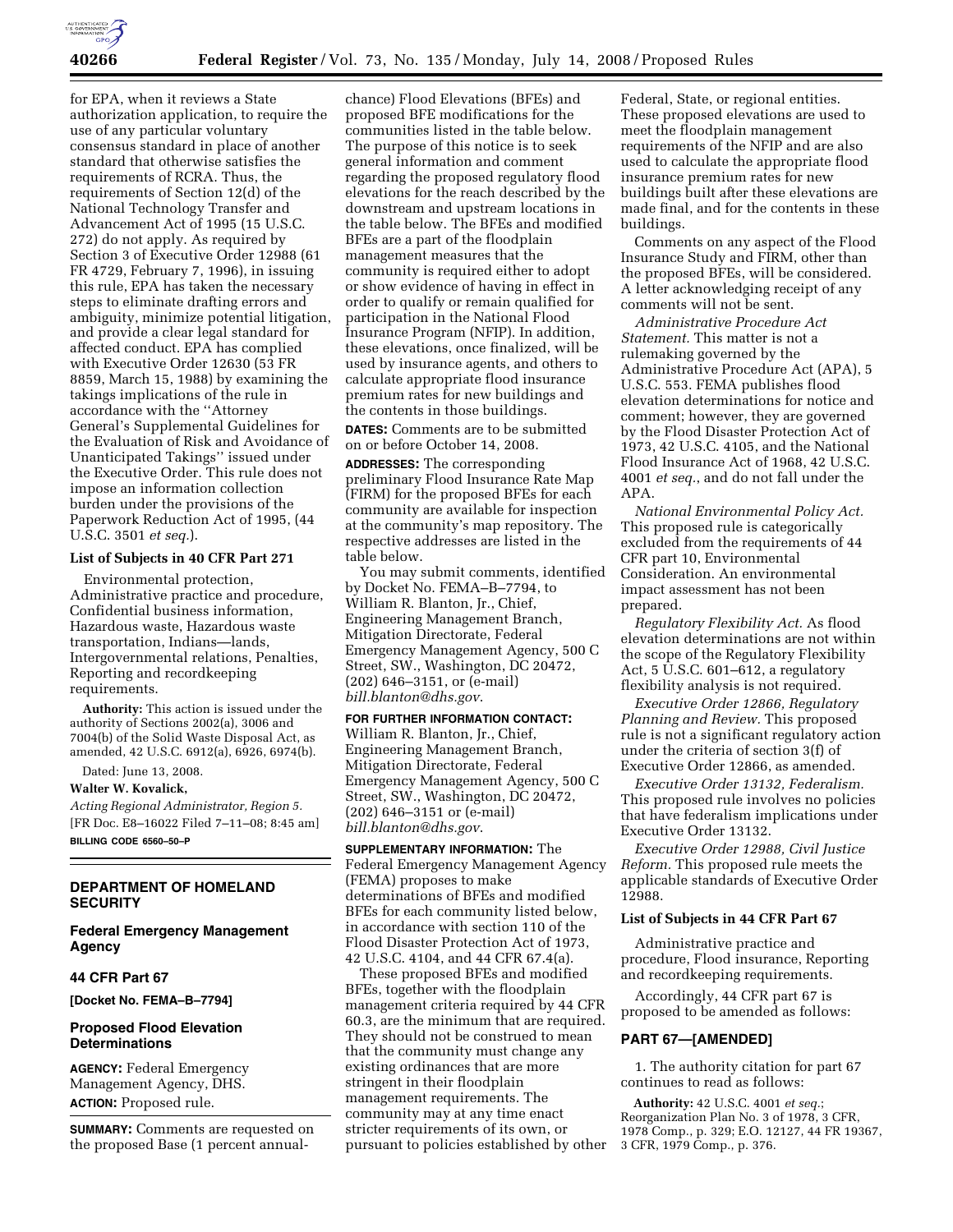

for EPA, when it reviews a State authorization application, to require the use of any particular voluntary consensus standard in place of another standard that otherwise satisfies the requirements of RCRA. Thus, the requirements of Section 12(d) of the National Technology Transfer and Advancement Act of 1995 (15 U.S.C. 272) do not apply. As required by Section 3 of Executive Order 12988 (61 FR 4729, February 7, 1996), in issuing this rule, EPA has taken the necessary steps to eliminate drafting errors and ambiguity, minimize potential litigation, and provide a clear legal standard for affected conduct. EPA has complied with Executive Order 12630 (53 FR 8859, March 15, 1988) by examining the takings implications of the rule in accordance with the ''Attorney General's Supplemental Guidelines for the Evaluation of Risk and Avoidance of Unanticipated Takings'' issued under the Executive Order. This rule does not impose an information collection burden under the provisions of the Paperwork Reduction Act of 1995, (44 U.S.C. 3501 *et seq.*).

#### **List of Subjects in 40 CFR Part 271**

Environmental protection, Administrative practice and procedure, Confidential business information, Hazardous waste, Hazardous waste transportation, Indians—lands, Intergovernmental relations, Penalties, Reporting and recordkeeping requirements.

**Authority:** This action is issued under the authority of Sections 2002(a), 3006 and 7004(b) of the Solid Waste Disposal Act, as amended, 42 U.S.C. 6912(a), 6926, 6974(b).

Dated: June 13, 2008.

#### **Walter W. Kovalick,**

*Acting Regional Administrator, Region 5.*  [FR Doc. E8–16022 Filed 7–11–08; 8:45 am] **BILLING CODE 6560–50–P** 

### **DEPARTMENT OF HOMELAND SECURITY**

## **Federal Emergency Management Agency**

#### **44 CFR Part 67**

**[Docket No. FEMA–B–7794]** 

### **Proposed Flood Elevation Determinations**

**AGENCY:** Federal Emergency Management Agency, DHS. **ACTION:** Proposed rule.

**SUMMARY:** Comments are requested on the proposed Base (1 percent annualchance) Flood Elevations (BFEs) and proposed BFE modifications for the communities listed in the table below. The purpose of this notice is to seek general information and comment regarding the proposed regulatory flood elevations for the reach described by the downstream and upstream locations in the table below. The BFEs and modified BFEs are a part of the floodplain management measures that the community is required either to adopt or show evidence of having in effect in order to qualify or remain qualified for participation in the National Flood Insurance Program (NFIP). In addition, these elevations, once finalized, will be used by insurance agents, and others to calculate appropriate flood insurance premium rates for new buildings and the contents in those buildings.

**DATES:** Comments are to be submitted on or before October 14, 2008.

**ADDRESSES:** The corresponding preliminary Flood Insurance Rate Map (FIRM) for the proposed BFEs for each community are available for inspection at the community's map repository. The respective addresses are listed in the table below.

You may submit comments, identified by Docket No. FEMA–B–7794, to William R. Blanton, Jr., Chief, Engineering Management Branch, Mitigation Directorate, Federal Emergency Management Agency, 500 C Street, SW., Washington, DC 20472, (202) 646–3151, or (e-mail) *bill.blanton@dhs.gov*.

### **FOR FURTHER INFORMATION CONTACT:**  William R. Blanton, Jr., Chief, Engineering Management Branch, Mitigation Directorate, Federal Emergency Management Agency, 500 C Street, SW., Washington, DC 20472, (202) 646–3151 or (e-mail) *bill.blanton@dhs.gov*.

**SUPPLEMENTARY INFORMATION:** The Federal Emergency Management Agency (FEMA) proposes to make determinations of BFEs and modified BFEs for each community listed below, in accordance with section 110 of the Flood Disaster Protection Act of 1973, 42 U.S.C. 4104, and 44 CFR 67.4(a).

These proposed BFEs and modified BFEs, together with the floodplain management criteria required by 44 CFR 60.3, are the minimum that are required. They should not be construed to mean that the community must change any existing ordinances that are more stringent in their floodplain management requirements. The community may at any time enact stricter requirements of its own, or pursuant to policies established by other

Federal, State, or regional entities. These proposed elevations are used to meet the floodplain management requirements of the NFIP and are also used to calculate the appropriate flood insurance premium rates for new buildings built after these elevations are made final, and for the contents in these buildings.

Comments on any aspect of the Flood Insurance Study and FIRM, other than the proposed BFEs, will be considered. A letter acknowledging receipt of any comments will not be sent.

*Administrative Procedure Act Statement.* This matter is not a rulemaking governed by the Administrative Procedure Act (APA), 5 U.S.C. 553. FEMA publishes flood elevation determinations for notice and comment; however, they are governed by the Flood Disaster Protection Act of 1973, 42 U.S.C. 4105, and the National Flood Insurance Act of 1968, 42 U.S.C. 4001 *et seq.*, and do not fall under the APA.

*National Environmental Policy Act.*  This proposed rule is categorically excluded from the requirements of 44 CFR part 10, Environmental Consideration. An environmental impact assessment has not been prepared.

*Regulatory Flexibility Act.* As flood elevation determinations are not within the scope of the Regulatory Flexibility Act, 5 U.S.C. 601–612, a regulatory flexibility analysis is not required.

*Executive Order 12866, Regulatory Planning and Review.* This proposed rule is not a significant regulatory action under the criteria of section 3(f) of Executive Order 12866, as amended.

*Executive Order 13132, Federalism.*  This proposed rule involves no policies that have federalism implications under Executive Order 13132.

*Executive Order 12988, Civil Justice Reform.* This proposed rule meets the applicable standards of Executive Order 12988.

#### **List of Subjects in 44 CFR Part 67**

Administrative practice and procedure, Flood insurance, Reporting and recordkeeping requirements.

Accordingly, 44 CFR part 67 is proposed to be amended as follows:

#### **PART 67—[AMENDED]**

1. The authority citation for part 67 continues to read as follows:

**Authority:** 42 U.S.C. 4001 *et seq.*; Reorganization Plan No. 3 of 1978, 3 CFR, 1978 Comp., p. 329; E.O. 12127, 44 FR 19367, 3 CFR, 1979 Comp., p. 376.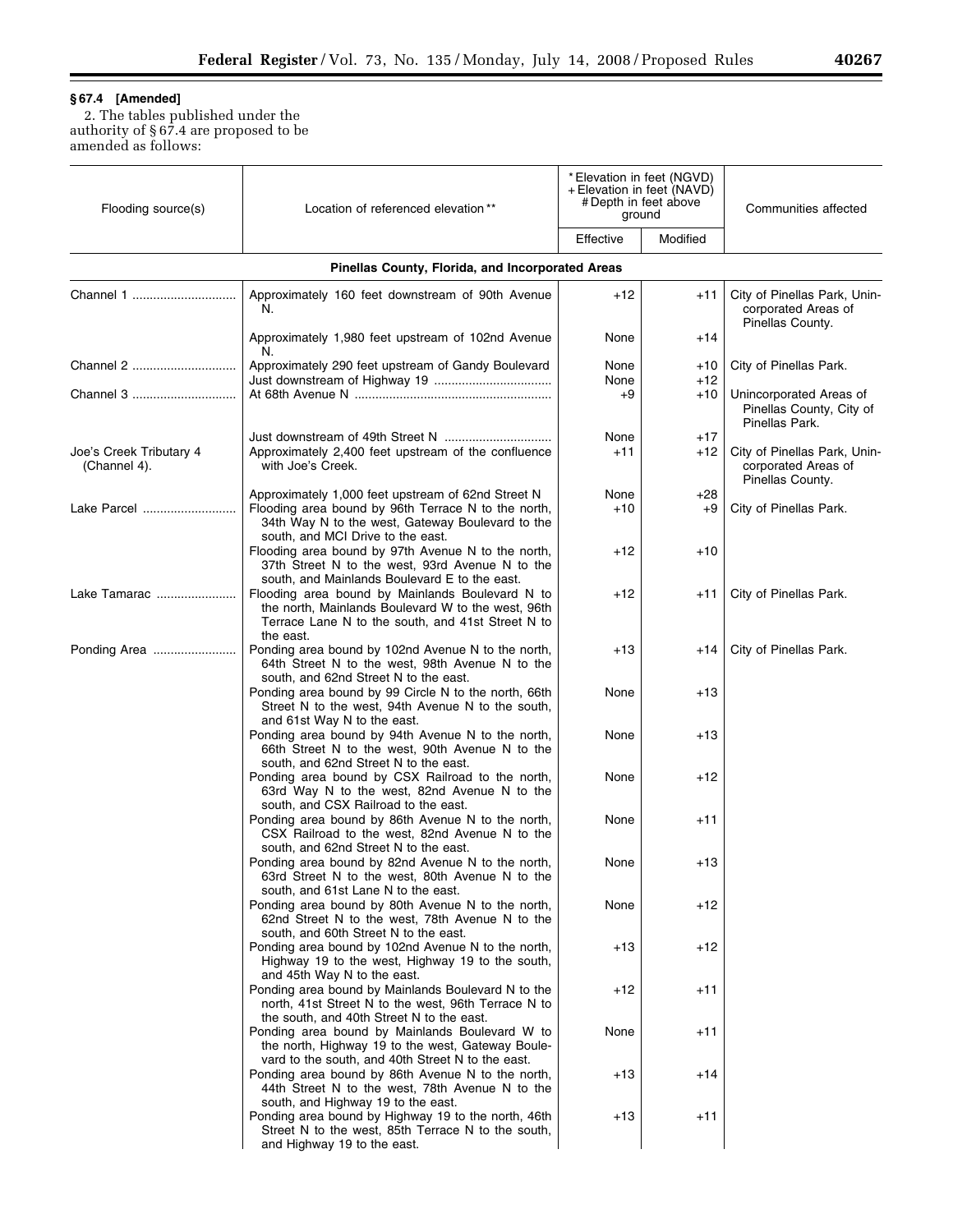▀

# **§ 67.4 [Amended]**

Ξ

2. The tables published under the authority of § 67.4 are proposed to be amended as follows:

| Flooding source(s)                      | Location of referenced elevation**                                                                                                                                                                 | * Elevation in feet (NGVD)<br>+ Elevation in feet (NAVD)<br># Depth in feet above<br>ground |            | Communities affected                                                    |
|-----------------------------------------|----------------------------------------------------------------------------------------------------------------------------------------------------------------------------------------------------|---------------------------------------------------------------------------------------------|------------|-------------------------------------------------------------------------|
|                                         |                                                                                                                                                                                                    | Effective                                                                                   | Modified   |                                                                         |
|                                         | Pinellas County, Florida, and Incorporated Areas                                                                                                                                                   |                                                                                             |            |                                                                         |
| Channel 1                               | Approximately 160 feet downstream of 90th Avenue<br>N.                                                                                                                                             | $+12$                                                                                       | $+11$      | City of Pinellas Park, Unin-<br>corporated Areas of<br>Pinellas County. |
|                                         | Approximately 1,980 feet upstream of 102nd Avenue<br>N.                                                                                                                                            | None                                                                                        | $+14$      |                                                                         |
| Channel 2                               | Approximately 290 feet upstream of Gandy Boulevard                                                                                                                                                 | None<br>None                                                                                | +10<br>+12 | City of Pinellas Park.                                                  |
| Channel 3                               |                                                                                                                                                                                                    | +9                                                                                          | +10        | Unincorporated Areas of<br>Pinellas County, City of<br>Pinellas Park.   |
|                                         |                                                                                                                                                                                                    | None                                                                                        | $+17$      |                                                                         |
| Joe's Creek Tributary 4<br>(Channel 4). | Approximately 2,400 feet upstream of the confluence<br>with Joe's Creek.                                                                                                                           | $+11$                                                                                       | +12        | City of Pinellas Park, Unin-<br>corporated Areas of<br>Pinellas County. |
| Lake Parcel                             | Approximately 1,000 feet upstream of 62nd Street N<br>Flooding area bound by 96th Terrace N to the north,<br>34th Way N to the west, Gateway Boulevard to the<br>south, and MCI Drive to the east. | None<br>$+10$                                                                               | +28<br>+9  | City of Pinellas Park.                                                  |
|                                         | Flooding area bound by 97th Avenue N to the north,<br>37th Street N to the west, 93rd Avenue N to the<br>south, and Mainlands Boulevard E to the east.                                             | $+12$                                                                                       | +10        |                                                                         |
| Lake Tamarac                            | Flooding area bound by Mainlands Boulevard N to<br>the north, Mainlands Boulevard W to the west, 96th<br>Terrace Lane N to the south, and 41st Street N to<br>the east.                            | $+12$                                                                                       | +11        | City of Pinellas Park.                                                  |
| Ponding Area                            | Ponding area bound by 102nd Avenue N to the north,<br>64th Street N to the west, 98th Avenue N to the<br>south, and 62nd Street N to the east.                                                     | +13                                                                                         | +14        | City of Pinellas Park.                                                  |
|                                         | Ponding area bound by 99 Circle N to the north, 66th<br>Street N to the west, 94th Avenue N to the south,<br>and 61st Way N to the east.                                                           | None                                                                                        | +13        |                                                                         |
|                                         | Ponding area bound by 94th Avenue N to the north,<br>66th Street N to the west, 90th Avenue N to the<br>south, and 62nd Street N to the east.                                                      | None                                                                                        | +13        |                                                                         |
|                                         | Ponding area bound by CSX Railroad to the north,<br>63rd Way N to the west, 82nd Avenue N to the<br>south, and CSX Railroad to the east.                                                           | None                                                                                        | +12        |                                                                         |
|                                         | Ponding area bound by 86th Avenue N to the north,<br>CSX Railroad to the west, 82nd Avenue N to the<br>south, and 62nd Street N to the east.                                                       | None                                                                                        | +11        |                                                                         |
|                                         | Ponding area bound by 82nd Avenue N to the north,<br>63rd Street N to the west, 80th Avenue N to the<br>south, and 61st Lane N to the east.                                                        | None                                                                                        | $+13$      |                                                                         |
|                                         | Ponding area bound by 80th Avenue N to the north,<br>62nd Street N to the west, 78th Avenue N to the<br>south, and 60th Street N to the east.                                                      | None                                                                                        | +12        |                                                                         |
|                                         | Ponding area bound by 102nd Avenue N to the north,<br>Highway 19 to the west, Highway 19 to the south,<br>and 45th Way N to the east.                                                              | $+13$                                                                                       | +12        |                                                                         |
|                                         | Ponding area bound by Mainlands Boulevard N to the<br>north, 41st Street N to the west, 96th Terrace N to<br>the south, and 40th Street N to the east.                                             | $+12$                                                                                       | +11        |                                                                         |
|                                         | Ponding area bound by Mainlands Boulevard W to<br>the north, Highway 19 to the west, Gateway Boule-<br>vard to the south, and 40th Street N to the east.                                           | None                                                                                        | +11        |                                                                         |
|                                         | Ponding area bound by 86th Avenue N to the north,<br>44th Street N to the west, 78th Avenue N to the<br>south, and Highway 19 to the east.                                                         | +13                                                                                         | +14        |                                                                         |
|                                         | Ponding area bound by Highway 19 to the north, 46th<br>Street N to the west, 85th Terrace N to the south,<br>and Highway 19 to the east.                                                           | +13                                                                                         | +11        |                                                                         |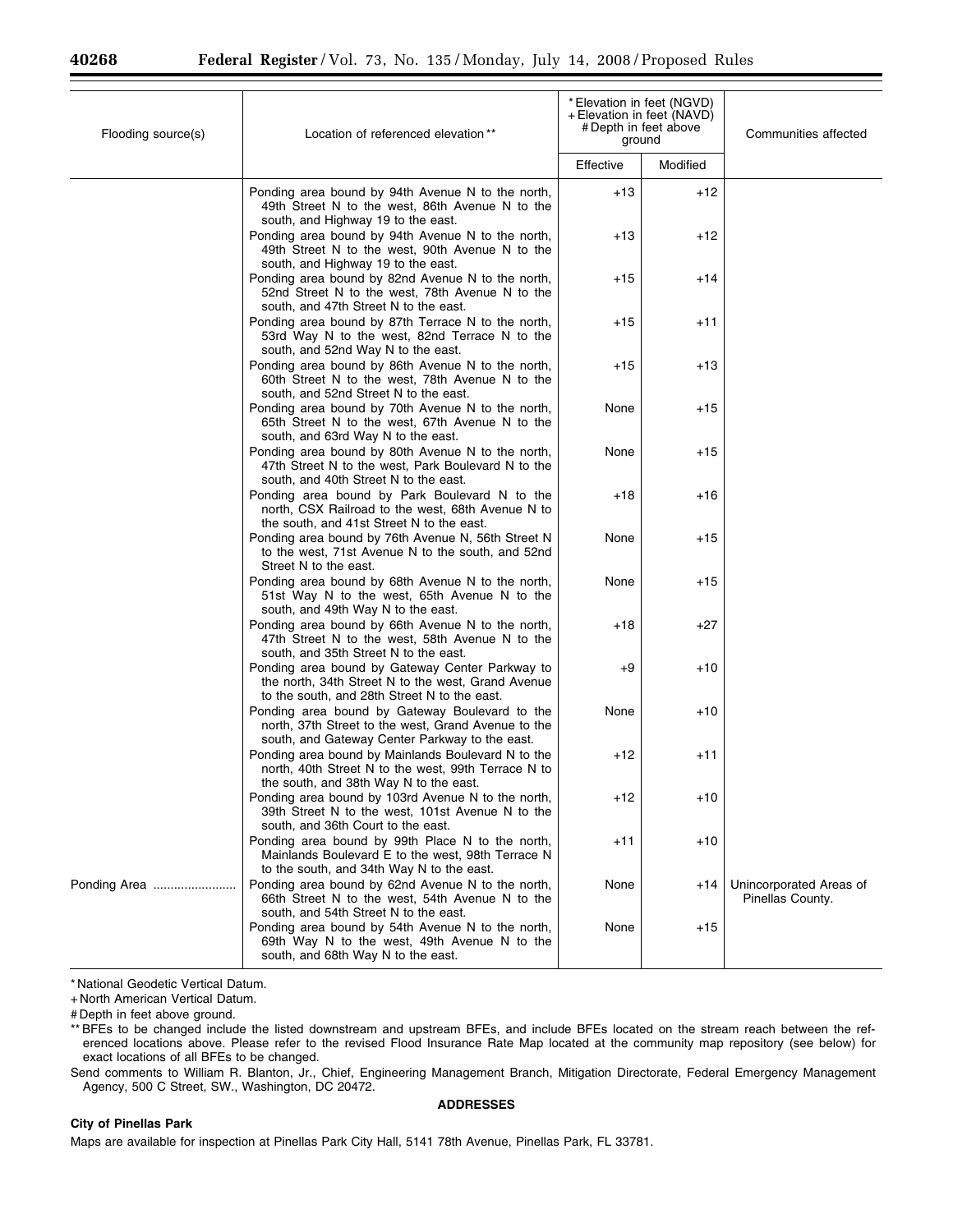| Flooding source(s) | Location of referenced elevation**                                                                                                                      | *Elevation in feet (NGVD)<br>+ Elevation in feet (NAVD)<br># Depth in feet above<br>ground |          | Communities affected                        |
|--------------------|---------------------------------------------------------------------------------------------------------------------------------------------------------|--------------------------------------------------------------------------------------------|----------|---------------------------------------------|
|                    |                                                                                                                                                         | Effective                                                                                  | Modified |                                             |
|                    | Ponding area bound by 94th Avenue N to the north,<br>49th Street N to the west, 86th Avenue N to the<br>south, and Highway 19 to the east.              | $+13$                                                                                      | +12      |                                             |
|                    | Ponding area bound by 94th Avenue N to the north,<br>49th Street N to the west, 90th Avenue N to the<br>south, and Highway 19 to the east.              | +13                                                                                        | +12      |                                             |
|                    | Ponding area bound by 82nd Avenue N to the north,<br>52nd Street N to the west, 78th Avenue N to the<br>south, and 47th Street N to the east.           | $+15$                                                                                      | +14      |                                             |
|                    | Ponding area bound by 87th Terrace N to the north,<br>53rd Way N to the west, 82nd Terrace N to the<br>south, and 52nd Way N to the east.               | +15                                                                                        | +11      |                                             |
|                    | Ponding area bound by 86th Avenue N to the north,<br>60th Street N to the west, 78th Avenue N to the<br>south, and 52nd Street N to the east.           | $+15$                                                                                      | +13      |                                             |
|                    | Ponding area bound by 70th Avenue N to the north,<br>65th Street N to the west, 67th Avenue N to the<br>south, and 63rd Way N to the east.              | None                                                                                       | +15      |                                             |
|                    | Ponding area bound by 80th Avenue N to the north,<br>47th Street N to the west, Park Boulevard N to the<br>south, and 40th Street N to the east.        | None                                                                                       | +15      |                                             |
|                    | Ponding area bound by Park Boulevard N to the<br>north, CSX Railroad to the west, 68th Avenue N to<br>the south, and 41st Street N to the east.         | +18                                                                                        | +16      |                                             |
|                    | Ponding area bound by 76th Avenue N, 56th Street N<br>to the west, 71st Avenue N to the south, and 52nd<br>Street N to the east.                        | None                                                                                       | +15      |                                             |
|                    | Ponding area bound by 68th Avenue N to the north,<br>51st Way N to the west, 65th Avenue N to the<br>south, and 49th Way N to the east.                 | None                                                                                       | +15      |                                             |
|                    | Ponding area bound by 66th Avenue N to the north,<br>47th Street N to the west, 58th Avenue N to the<br>south, and 35th Street N to the east.           | +18                                                                                        | +27      |                                             |
|                    | Ponding area bound by Gateway Center Parkway to<br>the north, 34th Street N to the west, Grand Avenue<br>to the south, and 28th Street N to the east.   | +9                                                                                         | +10      |                                             |
|                    | Ponding area bound by Gateway Boulevard to the<br>north, 37th Street to the west, Grand Avenue to the<br>south, and Gateway Center Parkway to the east. | None                                                                                       | +10      |                                             |
|                    | Ponding area bound by Mainlands Boulevard N to the<br>north, 40th Street N to the west, 99th Terrace N to<br>the south, and 38th Way N to the east.     | +12                                                                                        | +11      |                                             |
|                    | Ponding area bound by 103rd Avenue N to the north,<br>39th Street N to the west, 101st Avenue N to the<br>south, and 36th Court to the east.            | +12                                                                                        | +10      |                                             |
|                    | Ponding area bound by 99th Place N to the north,<br>Mainlands Boulevard E to the west, 98th Terrace N<br>to the south, and 34th Way N to the east.      | $+11$                                                                                      | $+10$    |                                             |
| Ponding Area       | Ponding area bound by 62nd Avenue N to the north,<br>66th Street N to the west, 54th Avenue N to the<br>south, and 54th Street N to the east.           | None                                                                                       | +14      | Unincorporated Areas of<br>Pinellas County. |
|                    | Ponding area bound by 54th Avenue N to the north,<br>69th Way N to the west, 49th Avenue N to the<br>south, and 68th Way N to the east.                 | None                                                                                       | +15      |                                             |

\* National Geodetic Vertical Datum.

+ North American Vertical Datum.

# Depth in feet above ground.

\*\* BFEs to be changed include the listed downstream and upstream BFEs, and include BFEs located on the stream reach between the referenced locations above. Please refer to the revised Flood Insurance Rate Map located at the community map repository (see below) for exact locations of all BFEs to be changed.

Send comments to William R. Blanton, Jr., Chief, Engineering Management Branch, Mitigation Directorate, Federal Emergency Management Agency, 500 C Street, SW., Washington, DC 20472.

#### **City of Pinellas Park**

**ADDRESSES** 

Maps are available for inspection at Pinellas Park City Hall, 5141 78th Avenue, Pinellas Park, FL 33781.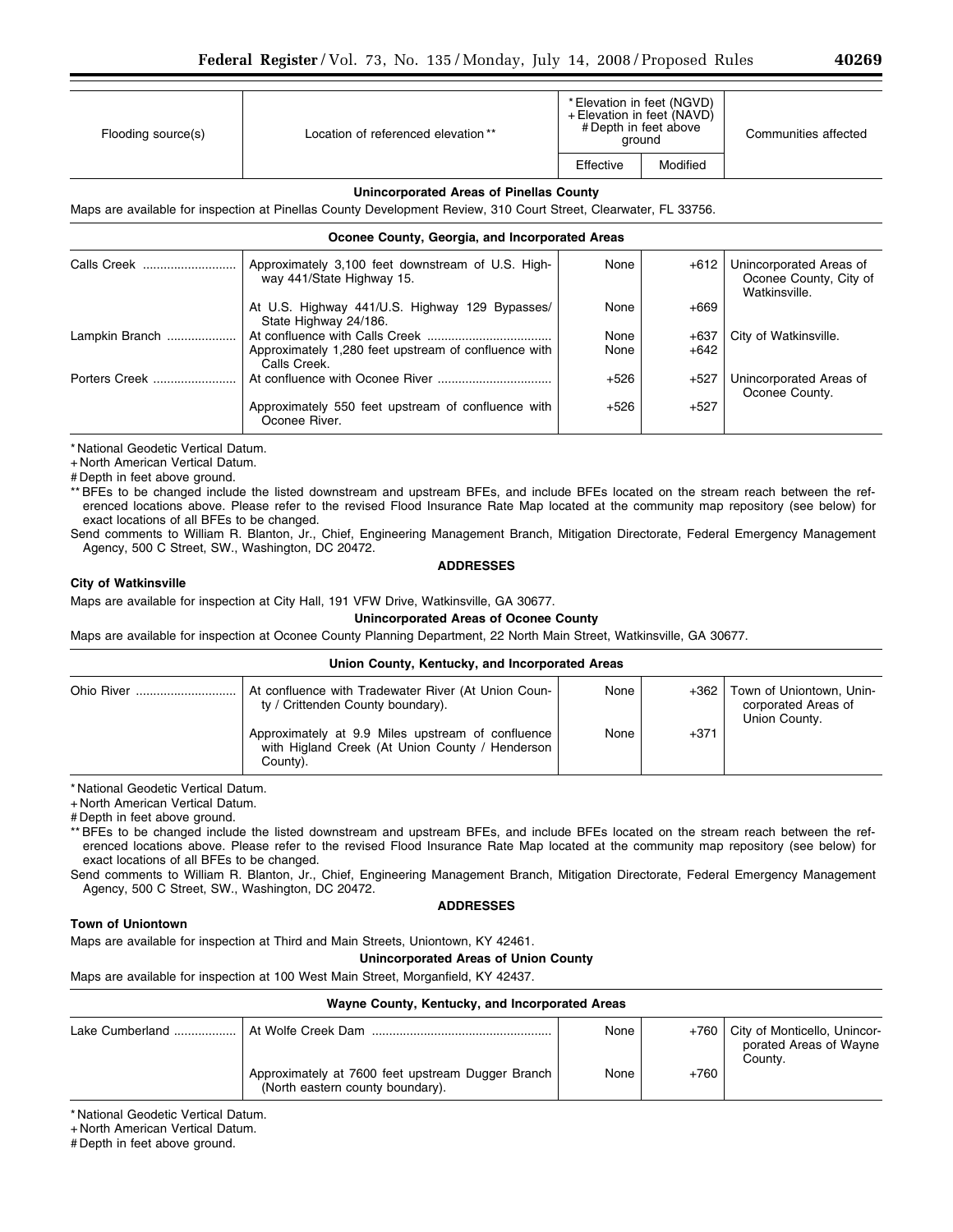| Flooding source(s) | Location of referenced elevation** |           | * Elevation in feet (NGVD)<br>+ Elevation in feet (NAVD)<br># Depth in feet above<br>ground | Communities affected |
|--------------------|------------------------------------|-----------|---------------------------------------------------------------------------------------------|----------------------|
|                    |                                    | Effective | Modified                                                                                    |                      |

### **Unincorporated Areas of Pinellas County**

Maps are available for inspection at Pinellas County Development Review, 310 Court Street, Clearwater, FL 33756.

### **Oconee County, Georgia, and Incorporated Areas**

|                | Approximately 3,100 feet downstream of U.S. High-<br>way 441/State Highway 15. | None   | $+612$ | Unincorporated Areas of<br>Oconee County, City of<br>Watkinsville. |
|----------------|--------------------------------------------------------------------------------|--------|--------|--------------------------------------------------------------------|
|                | At U.S. Highway 441/U.S. Highway 129 Bypasses/<br>State Highway 24/186.        | None   | $+669$ |                                                                    |
| Lampkin Branch |                                                                                | None   | $+637$ | City of Watkinsville.                                              |
|                | Approximately 1,280 feet upstream of confluence with<br>Calls Creek.           | None   | $+642$ |                                                                    |
| Porters Creek  |                                                                                | $+526$ | $+527$ | Unincorporated Areas of<br>Oconee County.                          |
|                | Approximately 550 feet upstream of confluence with<br>Oconee River.            | $+526$ | $+527$ |                                                                    |

\* National Geodetic Vertical Datum.

+ North American Vertical Datum.

# Depth in feet above ground.

\*\* BFEs to be changed include the listed downstream and upstream BFEs, and include BFEs located on the stream reach between the referenced locations above. Please refer to the revised Flood Insurance Rate Map located at the community map repository (see below) for exact locations of all BFEs to be changed.

Send comments to William R. Blanton, Jr., Chief, Engineering Management Branch, Mitigation Directorate, Federal Emergency Management Agency, 500 C Street, SW., Washington, DC 20472.

### **ADDRESSES**

### **City of Watkinsville**

Maps are available for inspection at City Hall, 191 VFW Drive, Watkinsville, GA 30677.

## **Unincorporated Areas of Oconee County**

Maps are available for inspection at Oconee County Planning Department, 22 North Main Street, Watkinsville, GA 30677.

#### **Union County, Kentucky, and Incorporated Areas**  Ohio River ............................. At confluence with Tradewater River (At Union County / Crittenden County boundary). None  $+362$  Town of Uniontown, Unincorporated Areas of Union County. Approximately at 9.9 Miles upstream of confluence with Higland Creek (At Union County / Henderson County).  $None \downarrow 371$

\* National Geodetic Vertical Datum.

+ North American Vertical Datum.

# Depth in feet above ground.

\*\* BFEs to be changed include the listed downstream and upstream BFEs, and include BFEs located on the stream reach between the referenced locations above. Please refer to the revised Flood Insurance Rate Map located at the community map repository (see below) for exact locations of all BFEs to be changed.

Send comments to William R. Blanton, Jr., Chief, Engineering Management Branch, Mitigation Directorate, Federal Emergency Management Agency, 500 C Street, SW., Washington, DC 20472.

### **ADDRESSES**

### **Town of Uniontown**

Maps are available for inspection at Third and Main Streets, Uniontown, KY 42461.

## **Unincorporated Areas of Union County**

Maps are available for inspection at 100 West Main Street, Morganfield, KY 42437.

| Wayne County, Kentucky, and Incorporated Areas |                                                                                       |      |        |                                                                   |
|------------------------------------------------|---------------------------------------------------------------------------------------|------|--------|-------------------------------------------------------------------|
|                                                | At Wolfe Creek Dam                                                                    | None | +760   | City of Monticello, Unincor-<br>porated Areas of Wayne<br>County. |
|                                                | Approximately at 7600 feet upstream Dugger Branch<br>(North eastern county boundary). | None | $+760$ |                                                                   |

\* National Geodetic Vertical Datum.

+ North American Vertical Datum.

# Depth in feet above ground.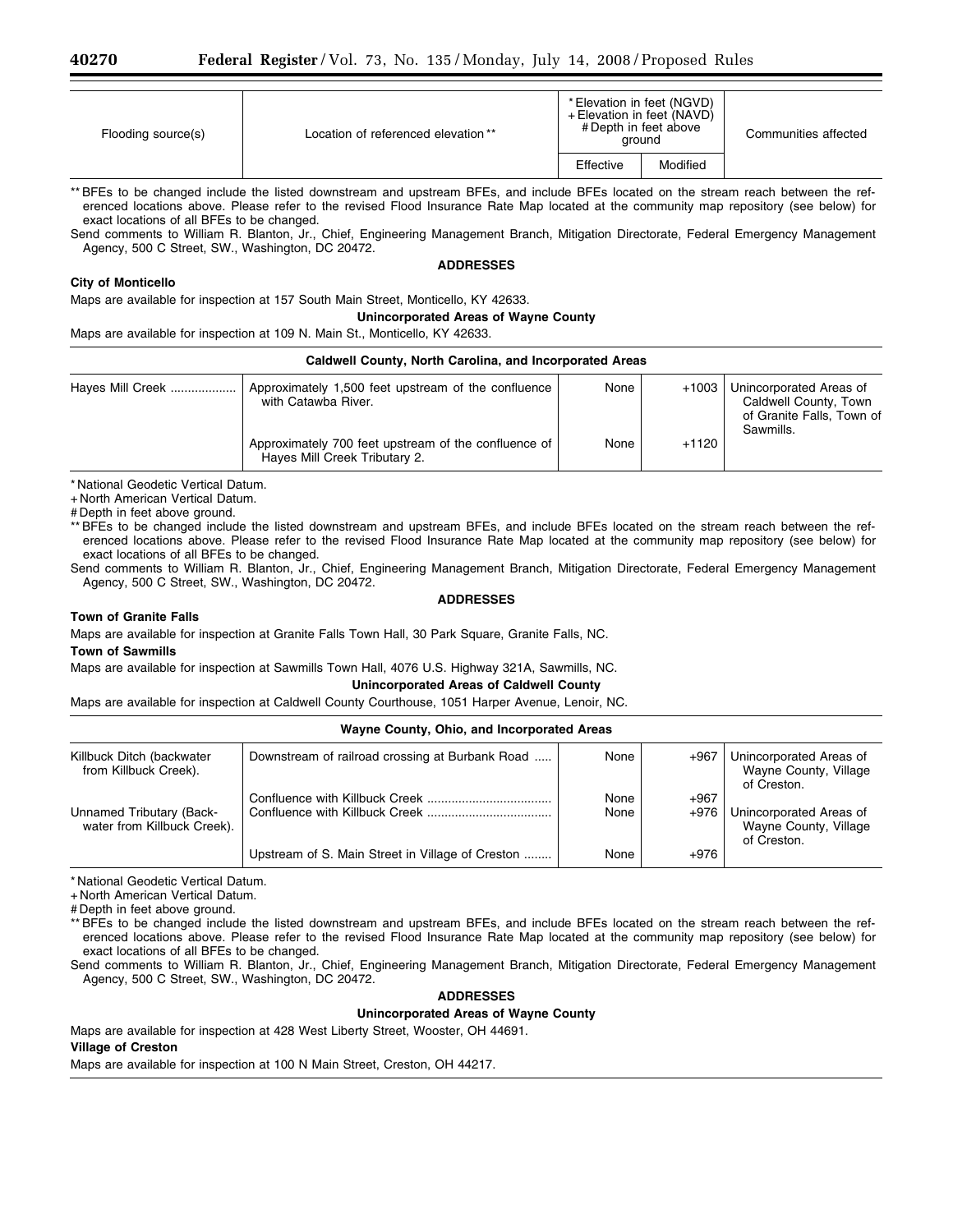| Flooding source(s) | Location of referenced elevation ** | * Elevation in feet (NGVD)<br>+ Elevation in feet (NAVD)<br># Depth in feet above<br>around |          | Communities affected |
|--------------------|-------------------------------------|---------------------------------------------------------------------------------------------|----------|----------------------|
|                    |                                     | Effective                                                                                   | Modified |                      |

\*\* BFEs to be changed include the listed downstream and upstream BFEs, and include BFEs located on the stream reach between the referenced locations above. Please refer to the revised Flood Insurance Rate Map located at the community map repository (see below) for exact locations of all BFEs to be changed.

Send comments to William R. Blanton, Jr., Chief, Engineering Management Branch, Mitigation Directorate, Federal Emergency Management Agency, 500 C Street, SW., Washington, DC 20472.

#### **ADDRESSES**

### **City of Monticello**

Maps are available for inspection at 157 South Main Street, Monticello, KY 42633.

**Unincorporated Areas of Wayne County** 

Maps are available for inspection at 109 N. Main St., Monticello, KY 42633.

| Caldwell County, North Carolina, and Incorporated Areas |                                                                                       |      |         |                                                                                            |  |
|---------------------------------------------------------|---------------------------------------------------------------------------------------|------|---------|--------------------------------------------------------------------------------------------|--|
| Hayes Mill Creek                                        | Approximately 1,500 feet upstream of the confluence<br>with Catawba River.            | None | +1003   | Unincorporated Areas of<br>Caldwell County, Town<br>of Granite Falls, Town of<br>Sawmills. |  |
|                                                         | Approximately 700 feet upstream of the confluence of<br>Hayes Mill Creek Tributary 2. | None | $+1120$ |                                                                                            |  |

\* National Geodetic Vertical Datum.

+ North American Vertical Datum.

# Depth in feet above ground.

\*\* BFEs to be changed include the listed downstream and upstream BFEs, and include BFEs located on the stream reach between the referenced locations above. Please refer to the revised Flood Insurance Rate Map located at the community map repository (see below) for exact locations of all BFEs to be changed.

Send comments to William R. Blanton, Jr., Chief, Engineering Management Branch, Mitigation Directorate, Federal Emergency Management Agency, 500 C Street, SW., Washington, DC 20472.

### **ADDRESSES**

#### **Town of Granite Falls**

Maps are available for inspection at Granite Falls Town Hall, 30 Park Square, Granite Falls, NC.

#### **Town of Sawmills**

Maps are available for inspection at Sawmills Town Hall, 4076 U.S. Highway 321A, Sawmills, NC.

### **Unincorporated Areas of Caldwell County**

Maps are available for inspection at Caldwell County Courthouse, 1051 Harper Avenue, Lenoir, NC.

### **Wayne County, Ohio, and Incorporated Areas**

| Killbuck Ditch (backwater<br>from Killbuck Creek).      | Downstream of railroad crossing at Burbank Road  | None         | $+967$         | Unincorporated Areas of<br>Wayne County, Village<br>of Creston. |
|---------------------------------------------------------|--------------------------------------------------|--------------|----------------|-----------------------------------------------------------------|
| Unnamed Tributary (Back-<br>water from Killbuck Creek). |                                                  | None<br>None | $+967$<br>+976 | Unincorporated Areas of<br>Wayne County, Village<br>of Creston. |
|                                                         | Upstream of S. Main Street in Village of Creston | None         | $+976$         |                                                                 |

\* National Geodetic Vertical Datum.

+ North American Vertical Datum.

# Depth in feet above ground.

\*\* BFEs to be changed include the listed downstream and upstream BFEs, and include BFEs located on the stream reach between the referenced locations above. Please refer to the revised Flood Insurance Rate Map located at the community map repository (see below) for exact locations of all BFEs to be changed.

Send comments to William R. Blanton, Jr., Chief, Engineering Management Branch, Mitigation Directorate, Federal Emergency Management Agency, 500 C Street, SW., Washington, DC 20472.

### **ADDRESSES**

### **Unincorporated Areas of Wayne County**

Maps are available for inspection at 428 West Liberty Street, Wooster, OH 44691.

### **Village of Creston**

Maps are available for inspection at 100 N Main Street, Creston, OH 44217.